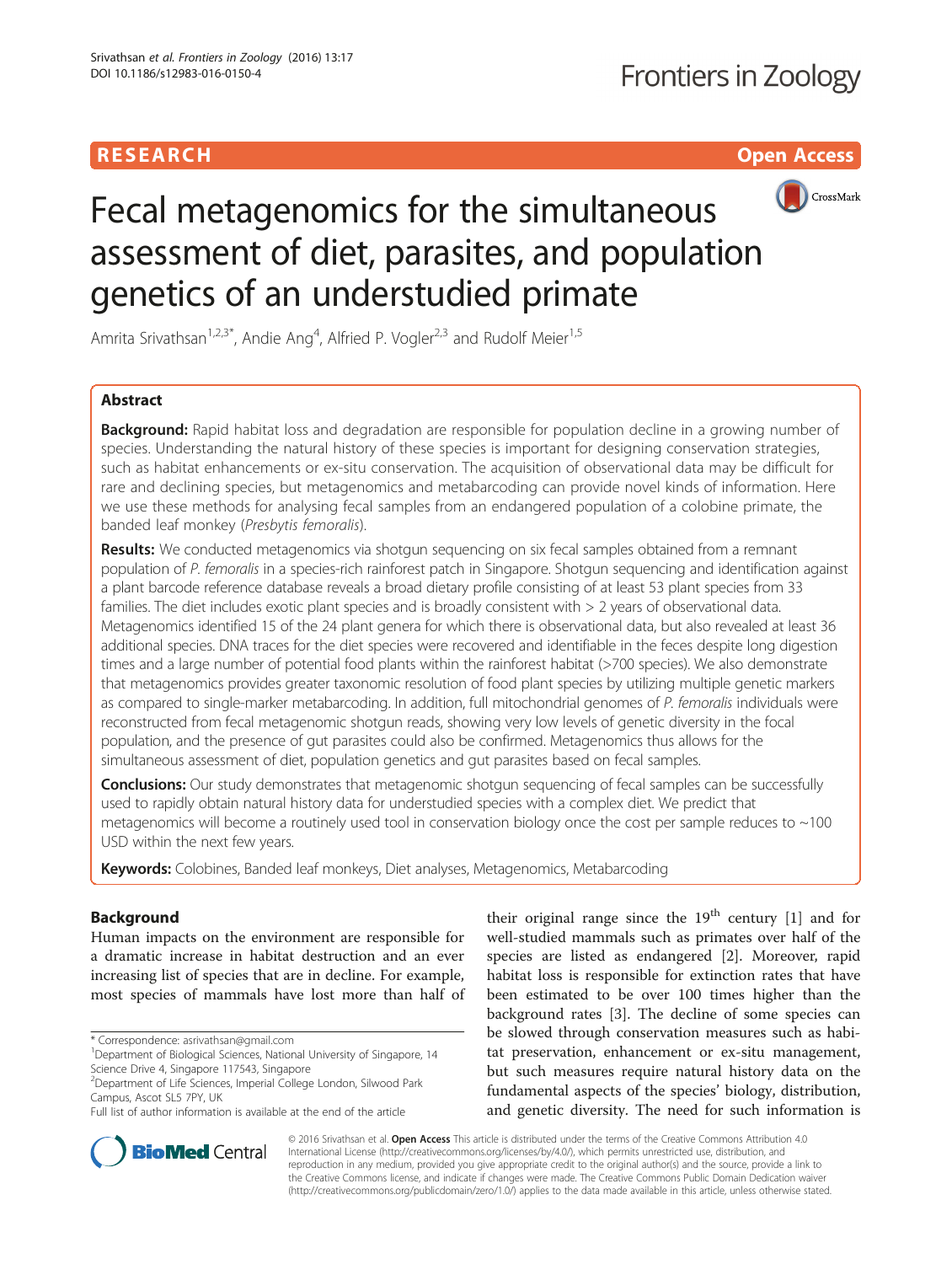## **RESEARCH CHILD CONTROL** CONTROL CONTROL CONTROL CONTROL CONTROL CONTROL CONTROL CONTROL CONTROL CONTROL CONTROL



# Fecal metagenomics for the simultaneous assessment of diet, parasites, and population genetics of an understudied primate

Amrita Srivathsan<sup>1,2,3\*</sup>, Andie Ang<sup>4</sup>, Alfried P. Vogler<sup>2,3</sup> and Rudolf Meier<sup>1,5</sup>

## Abstract

**Background:** Rapid habitat loss and degradation are responsible for population decline in a growing number of species. Understanding the natural history of these species is important for designing conservation strategies, such as habitat enhancements or ex-situ conservation. The acquisition of observational data may be difficult for rare and declining species, but metagenomics and metabarcoding can provide novel kinds of information. Here we use these methods for analysing fecal samples from an endangered population of a colobine primate, the banded leaf monkey (Presbytis femoralis).

Results: We conducted metagenomics via shotgun sequencing on six fecal samples obtained from a remnant population of P. femoralis in a species-rich rainforest patch in Singapore. Shotgun sequencing and identification against a plant barcode reference database reveals a broad dietary profile consisting of at least 53 plant species from 33 families. The diet includes exotic plant species and is broadly consistent with > 2 years of observational data. Metagenomics identified 15 of the 24 plant genera for which there is observational data, but also revealed at least 36 additional species. DNA traces for the diet species were recovered and identifiable in the feces despite long digestion times and a large number of potential food plants within the rainforest habitat (>700 species). We also demonstrate that metagenomics provides greater taxonomic resolution of food plant species by utilizing multiple genetic markers as compared to single-marker metabarcoding. In addition, full mitochondrial genomes of P. femoralis individuals were reconstructed from fecal metagenomic shotgun reads, showing very low levels of genetic diversity in the focal population, and the presence of gut parasites could also be confirmed. Metagenomics thus allows for the simultaneous assessment of diet, population genetics and gut parasites based on fecal samples.

**Conclusions:** Our study demonstrates that metagenomic shotgun sequencing of fecal samples can be successfully used to rapidly obtain natural history data for understudied species with a complex diet. We predict that metagenomics will become a routinely used tool in conservation biology once the cost per sample reduces to ~100 USD within the next few years.

Keywords: Colobines, Banded leaf monkeys, Diet analyses, Metagenomics, Metabarcoding

## Background

Human impacts on the environment are responsible for a dramatic increase in habitat destruction and an ever increasing list of species that are in decline. For example, most species of mammals have lost more than half of

\* Correspondence: [asrivathsan@gmail.com](mailto:asrivathsan@gmail.com) <sup>1</sup>

<sup>1</sup>Department of Biological Sciences, National University of Singapore, 14 Science Drive 4, Singapore 117543, Singapore

their original range since the  $19<sup>th</sup>$  century [\[1](#page-11-0)] and for well-studied mammals such as primates over half of the species are listed as endangered [[2](#page-11-0)]. Moreover, rapid habitat loss is responsible for extinction rates that have been estimated to be over 100 times higher than the background rates [\[3](#page-11-0)]. The decline of some species can be slowed through conservation measures such as habitat preservation, enhancement or ex-situ management, but such measures require natural history data on the fundamental aspects of the species' biology, distribution, and genetic diversity. The need for such information is



© 2016 Srivathsan et al. Open Access This article is distributed under the terms of the Creative Commons Attribution 4.0 International License [\(http://creativecommons.org/licenses/by/4.0/](http://creativecommons.org/licenses/by/4.0/)), which permits unrestricted use, distribution, and reproduction in any medium, provided you give appropriate credit to the original author(s) and the source, provide a link to the Creative Commons license, and indicate if changes were made. The Creative Commons Public Domain Dedication waiver [\(http://creativecommons.org/publicdomain/zero/1.0/](http://creativecommons.org/publicdomain/zero/1.0/)) applies to the data made available in this article, unless otherwise stated.

<sup>2</sup> Department of Life Sciences, Imperial College London, Silwood Park Campus, Ascot SL5 7PY, UK

Full list of author information is available at the end of the article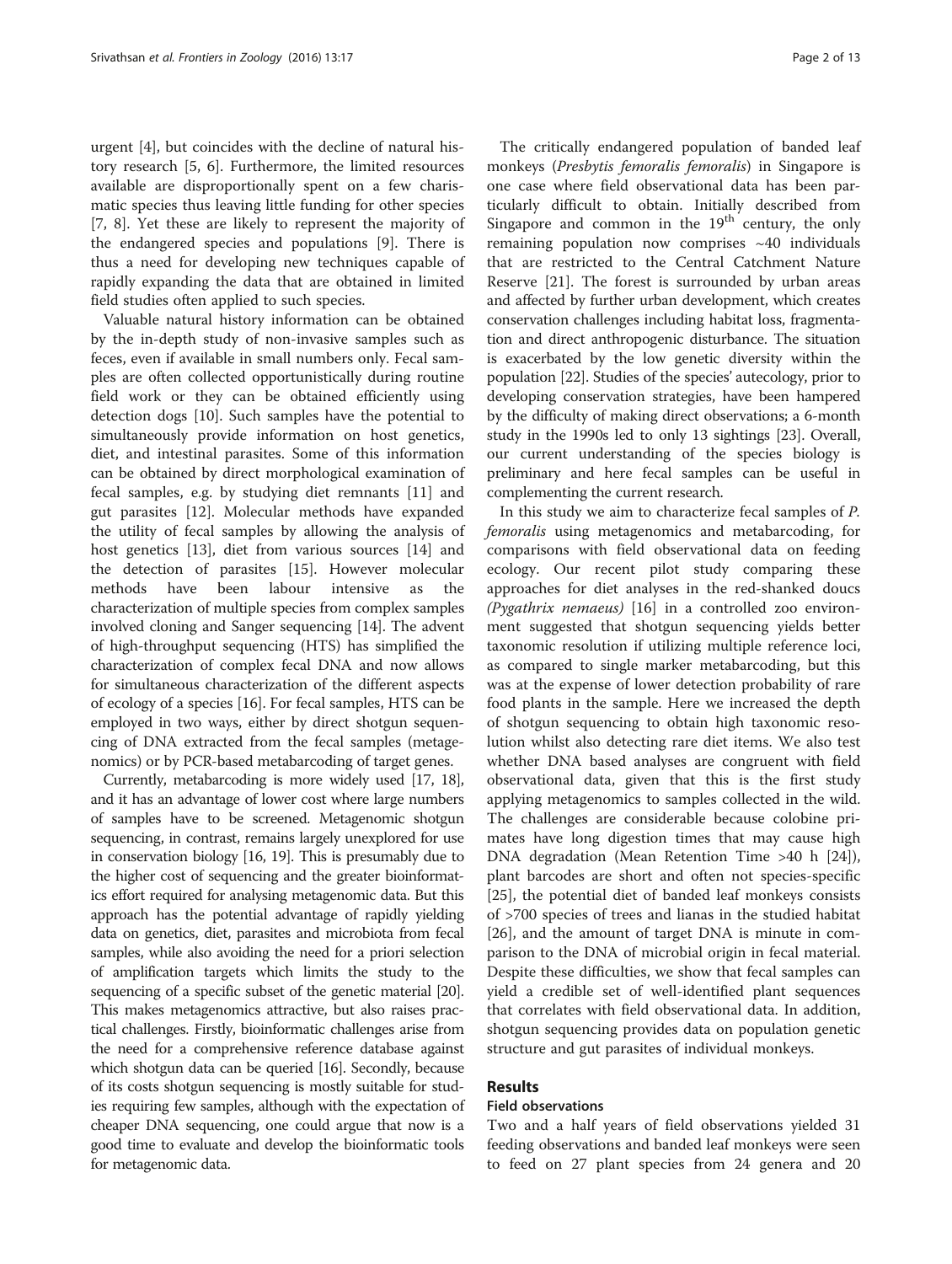urgent [[4\]](#page-11-0), but coincides with the decline of natural history research [\[5](#page-11-0), [6\]](#page-11-0). Furthermore, the limited resources available are disproportionally spent on a few charismatic species thus leaving little funding for other species [[7, 8](#page-11-0)]. Yet these are likely to represent the majority of the endangered species and populations [[9\]](#page-11-0). There is thus a need for developing new techniques capable of rapidly expanding the data that are obtained in limited field studies often applied to such species.

Valuable natural history information can be obtained by the in-depth study of non-invasive samples such as feces, even if available in small numbers only. Fecal samples are often collected opportunistically during routine field work or they can be obtained efficiently using detection dogs [\[10](#page-11-0)]. Such samples have the potential to simultaneously provide information on host genetics, diet, and intestinal parasites. Some of this information can be obtained by direct morphological examination of fecal samples, e.g. by studying diet remnants [[11\]](#page-11-0) and gut parasites [\[12](#page-11-0)]. Molecular methods have expanded the utility of fecal samples by allowing the analysis of host genetics [[13\]](#page-11-0), diet from various sources [[14](#page-11-0)] and the detection of parasites [\[15](#page-11-0)]. However molecular methods have been labour intensive as the characterization of multiple species from complex samples involved cloning and Sanger sequencing [\[14](#page-11-0)]. The advent of high-throughput sequencing (HTS) has simplified the characterization of complex fecal DNA and now allows for simultaneous characterization of the different aspects of ecology of a species [\[16](#page-11-0)]. For fecal samples, HTS can be employed in two ways, either by direct shotgun sequencing of DNA extracted from the fecal samples (metagenomics) or by PCR-based metabarcoding of target genes.

Currently, metabarcoding is more widely used [\[17, 18](#page-11-0)], and it has an advantage of lower cost where large numbers of samples have to be screened. Metagenomic shotgun sequencing, in contrast, remains largely unexplored for use in conservation biology [\[16](#page-11-0), [19](#page-11-0)]. This is presumably due to the higher cost of sequencing and the greater bioinformatics effort required for analysing metagenomic data. But this approach has the potential advantage of rapidly yielding data on genetics, diet, parasites and microbiota from fecal samples, while also avoiding the need for a priori selection of amplification targets which limits the study to the sequencing of a specific subset of the genetic material [\[20](#page-11-0)]. This makes metagenomics attractive, but also raises practical challenges. Firstly, bioinformatic challenges arise from the need for a comprehensive reference database against which shotgun data can be queried [\[16\]](#page-11-0). Secondly, because of its costs shotgun sequencing is mostly suitable for studies requiring few samples, although with the expectation of cheaper DNA sequencing, one could argue that now is a good time to evaluate and develop the bioinformatic tools for metagenomic data.

The critically endangered population of banded leaf monkeys (Presbytis femoralis femoralis) in Singapore is one case where field observational data has been particularly difficult to obtain. Initially described from Singapore and common in the  $19<sup>th</sup>$  century, the only remaining population now comprises ~40 individuals that are restricted to the Central Catchment Nature Reserve [\[21\]](#page-11-0). The forest is surrounded by urban areas and affected by further urban development, which creates conservation challenges including habitat loss, fragmentation and direct anthropogenic disturbance. The situation is exacerbated by the low genetic diversity within the population [[22](#page-11-0)]. Studies of the species' autecology, prior to developing conservation strategies, have been hampered by the difficulty of making direct observations; a 6-month study in the 1990s led to only 13 sightings [[23](#page-11-0)]. Overall, our current understanding of the species biology is preliminary and here fecal samples can be useful in complementing the current research.

In this study we aim to characterize fecal samples of P. femoralis using metagenomics and metabarcoding, for comparisons with field observational data on feeding ecology. Our recent pilot study comparing these approaches for diet analyses in the red-shanked doucs (Pygathrix nemaeus) [\[16\]](#page-11-0) in a controlled zoo environment suggested that shotgun sequencing yields better taxonomic resolution if utilizing multiple reference loci, as compared to single marker metabarcoding, but this was at the expense of lower detection probability of rare food plants in the sample. Here we increased the depth of shotgun sequencing to obtain high taxonomic resolution whilst also detecting rare diet items. We also test whether DNA based analyses are congruent with field observational data, given that this is the first study applying metagenomics to samples collected in the wild. The challenges are considerable because colobine primates have long digestion times that may cause high DNA degradation (Mean Retention Time >40 h [\[24](#page-11-0)]), plant barcodes are short and often not species-specific [[25\]](#page-11-0), the potential diet of banded leaf monkeys consists of >700 species of trees and lianas in the studied habitat [[26\]](#page-11-0), and the amount of target DNA is minute in comparison to the DNA of microbial origin in fecal material. Despite these difficulties, we show that fecal samples can yield a credible set of well-identified plant sequences that correlates with field observational data. In addition, shotgun sequencing provides data on population genetic structure and gut parasites of individual monkeys.

## Results

#### Field observations

Two and a half years of field observations yielded 31 feeding observations and banded leaf monkeys were seen to feed on 27 plant species from 24 genera and 20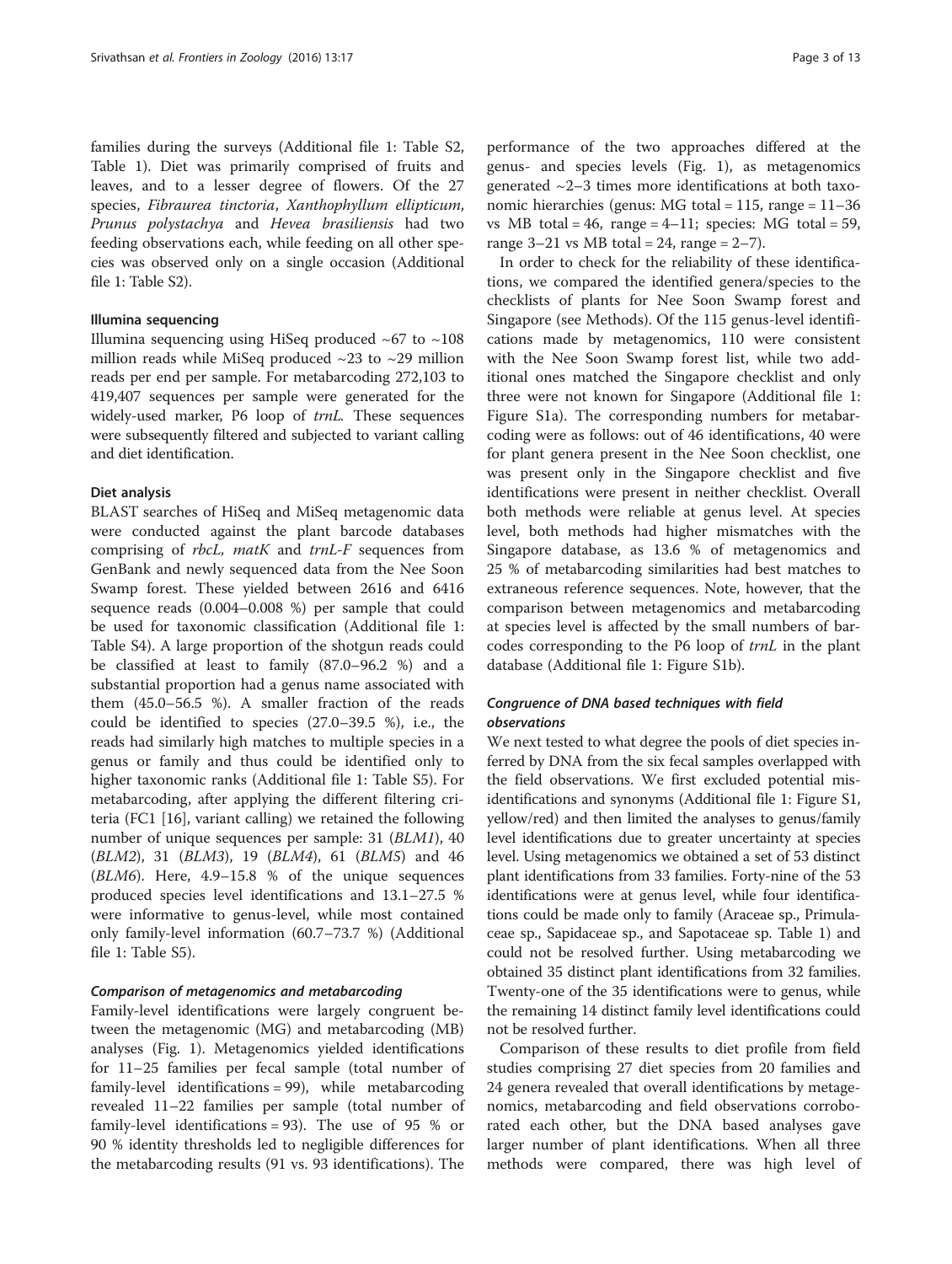families during the surveys (Additional file [1](#page-11-0): Table S2, Table [1](#page-3-0)). Diet was primarily comprised of fruits and leaves, and to a lesser degree of flowers. Of the 27 species, Fibraurea tinctoria, Xanthophyllum ellipticum, Prunus polystachya and Hevea brasiliensis had two feeding observations each, while feeding on all other species was observed only on a single occasion (Additional file [1](#page-11-0): Table S2).

## Illumina sequencing

Illumina sequencing using HiSeq produced  $~67$  to  $~108$ million reads while MiSeq produced  $\sim$ 23 to  $\sim$ 29 million reads per end per sample. For metabarcoding 272,103 to 419,407 sequences per sample were generated for the widely-used marker, P6 loop of trnL. These sequences were subsequently filtered and subjected to variant calling and diet identification.

#### Diet analysis

BLAST searches of HiSeq and MiSeq metagenomic data were conducted against the plant barcode databases comprising of rbcL, matK and trnL-F sequences from GenBank and newly sequenced data from the Nee Soon Swamp forest. These yielded between 2616 and 6416 sequence reads (0.004–0.008 %) per sample that could be used for taxonomic classification (Additional file [1](#page-11-0): Table S4). A large proportion of the shotgun reads could be classified at least to family (87.0–96.2 %) and a substantial proportion had a genus name associated with them (45.0–56.5 %). A smaller fraction of the reads could be identified to species (27.0–39.5 %), i.e., the reads had similarly high matches to multiple species in a genus or family and thus could be identified only to higher taxonomic ranks (Additional file [1:](#page-11-0) Table S5). For metabarcoding, after applying the different filtering criteria (FC1 [\[16\]](#page-11-0), variant calling) we retained the following number of unique sequences per sample: 31 (BLM1), 40 (BLM2), 31 (BLM3), 19 (BLM4), 61 (BLM5) and 46 (BLM6). Here, 4.9–15.8 % of the unique sequences produced species level identifications and 13.1–27.5 % were informative to genus-level, while most contained only family-level information (60.7–73.7 %) (Additional file [1:](#page-11-0) Table S5).

## Comparison of metagenomics and metabarcoding

Family-level identifications were largely congruent between the metagenomic (MG) and metabarcoding (MB) analyses (Fig. [1](#page-4-0)). Metagenomics yielded identifications for 11–25 families per fecal sample (total number of family-level identifications = 99), while metabarcoding revealed 11–22 families per sample (total number of family-level identifications = 93). The use of 95 % or 90 % identity thresholds led to negligible differences for the metabarcoding results (91 vs. 93 identifications). The performance of the two approaches differed at the genus- and species levels (Fig. [1](#page-4-0)), as metagenomics generated  $\sim$ 2–3 times more identifications at both taxonomic hierarchies (genus: MG total = 115, range = 11–36 vs MB total =  $46$ , range =  $4-11$ ; species: MG total =  $59$ , range  $3-21$  vs MB total = 24, range = 2-7).

In order to check for the reliability of these identifications, we compared the identified genera/species to the checklists of plants for Nee Soon Swamp forest and Singapore (see [Methods\)](#page-8-0). Of the 115 genus-level identifications made by metagenomics, 110 were consistent with the Nee Soon Swamp forest list, while two additional ones matched the Singapore checklist and only three were not known for Singapore (Additional file [1](#page-11-0): Figure S1a). The corresponding numbers for metabarcoding were as follows: out of 46 identifications, 40 were for plant genera present in the Nee Soon checklist, one was present only in the Singapore checklist and five identifications were present in neither checklist. Overall both methods were reliable at genus level. At species level, both methods had higher mismatches with the Singapore database, as 13.6 % of metagenomics and 25 % of metabarcoding similarities had best matches to extraneous reference sequences. Note, however, that the comparison between metagenomics and metabarcoding at species level is affected by the small numbers of barcodes corresponding to the P6 loop of trnL in the plant database (Additional file [1](#page-11-0): Figure S1b).

## Congruence of DNA based techniques with field observations

We next tested to what degree the pools of diet species inferred by DNA from the six fecal samples overlapped with the field observations. We first excluded potential misidentifications and synonyms (Additional file [1](#page-11-0): Figure S1, yellow/red) and then limited the analyses to genus/family level identifications due to greater uncertainty at species level. Using metagenomics we obtained a set of 53 distinct plant identifications from 33 families. Forty-nine of the 53 identifications were at genus level, while four identifications could be made only to family (Araceae sp., Primulaceae sp., Sapidaceae sp., and Sapotaceae sp. Table [1](#page-3-0)) and could not be resolved further. Using metabarcoding we obtained 35 distinct plant identifications from 32 families. Twenty-one of the 35 identifications were to genus, while the remaining 14 distinct family level identifications could not be resolved further.

Comparison of these results to diet profile from field studies comprising 27 diet species from 20 families and 24 genera revealed that overall identifications by metagenomics, metabarcoding and field observations corroborated each other, but the DNA based analyses gave larger number of plant identifications. When all three methods were compared, there was high level of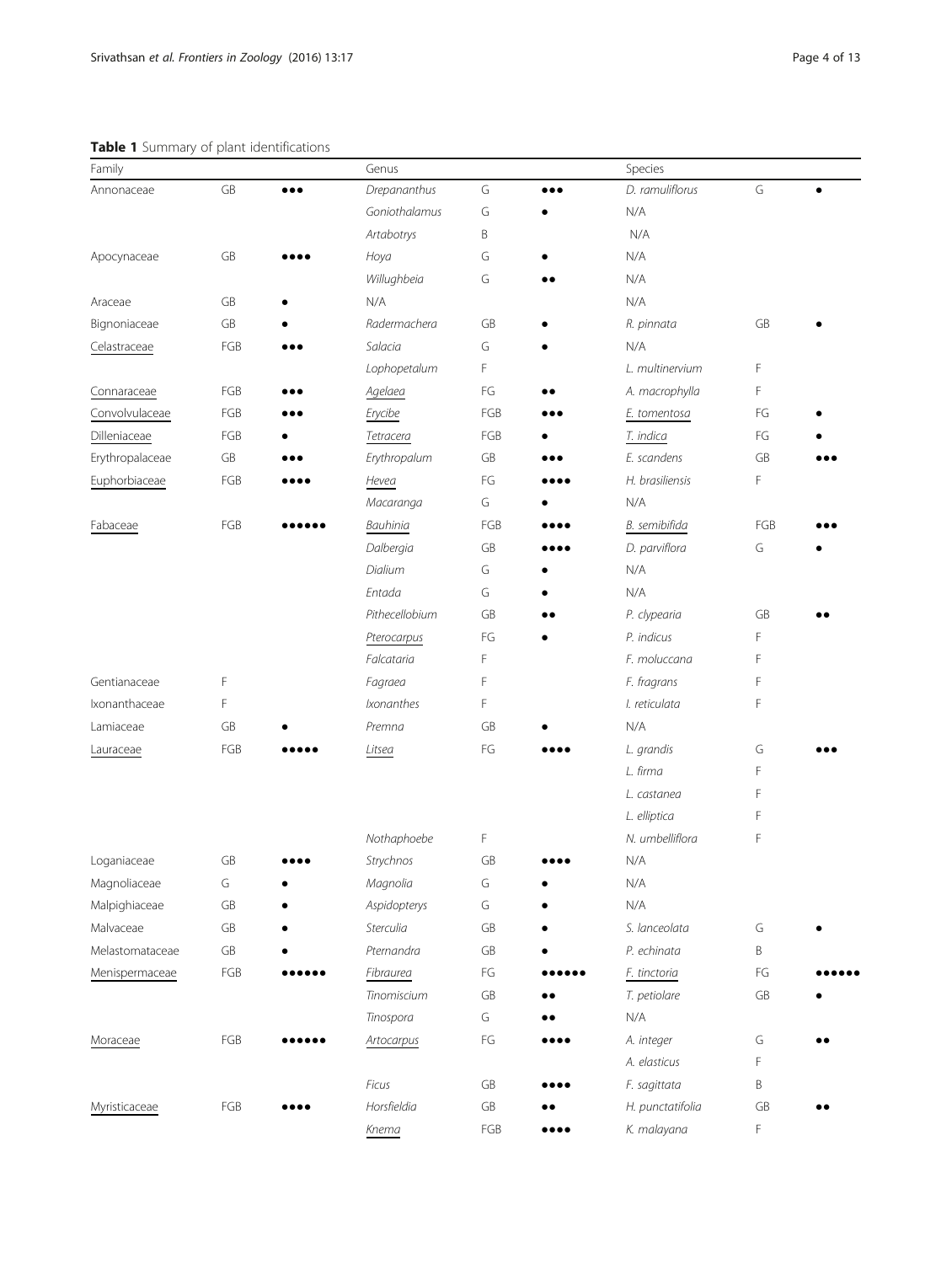## <span id="page-3-0"></span>Table 1 Summary of plant identifications

| Family          |     |                         | Genus          |                        |                                | Species          |            |  |
|-----------------|-----|-------------------------|----------------|------------------------|--------------------------------|------------------|------------|--|
| Annonaceae      | GB  | $\bullet\bullet\bullet$ | Drepananthus   | G                      |                                | D. ramuliflorus  | G          |  |
|                 |     |                         | Goniothalamus  | G                      |                                | N/A              |            |  |
|                 |     |                         | Artabotrys     | Β                      |                                | N/A              |            |  |
| Apocynaceae     | GB  |                         | Hoya           | G                      |                                | N/A              |            |  |
|                 |     |                         | Willughbeia    | G                      |                                | N/A              |            |  |
| Araceae         | GB  |                         | N/A            |                        |                                | N/A              |            |  |
| Bignoniaceae    | GB  |                         | Radermachera   | GB                     |                                | R. pinnata       | GB         |  |
| Celastraceae    | FGB |                         | Salacia        | G                      |                                | N/A              |            |  |
|                 |     |                         | Lophopetalum   | F                      |                                | L. multinervium  | F          |  |
| Connaraceae     | FGB |                         | Agelaea        | FG                     |                                | A. macrophylla   | F          |  |
| Convolvulaceae  | FGB |                         | Erycibe        | FGB                    |                                | E. tomentosa     | FG         |  |
| Dilleniaceae    | FGB |                         | Tetracera      | FGB                    |                                | T. indica        | FG         |  |
| Erythropalaceae | GB  |                         | Erythropalum   | GB                     |                                | E. scandens      | GB         |  |
| Euphorbiaceae   | FGB |                         | Hevea          | FG                     |                                | H. brasiliensis  | F          |  |
|                 |     |                         | Macaranga      | G                      |                                | N/A              |            |  |
| Fabaceae        | FGB |                         | Bauhinia       | FGB                    |                                | B. semibifida    | FGB        |  |
|                 |     |                         | Dalbergia      | GB                     |                                | D. parviflora    | G          |  |
|                 |     |                         | Dialium        | G                      |                                | N/A              |            |  |
|                 |     |                         | Entada         | G                      |                                | N/A              |            |  |
|                 |     |                         | Pithecellobium | GB                     |                                | P. clypearia     | GB         |  |
|                 |     |                         | Pterocarpus    | FG                     |                                | P. indicus       | F          |  |
|                 |     |                         | Falcataria     | F                      |                                | F. moluccana     | F          |  |
| Gentianaceae    | F   |                         | Fagraea        | F                      |                                | F. fragrans      | F          |  |
| Ixonanthaceae   | F   |                         | Ixonanthes     | F                      |                                | I. reticulata    | F          |  |
| Lamiaceae       | GB  |                         | Premna         | GB                     |                                | N/A              |            |  |
| Lauraceae       | FGB |                         | Litsea         | FG                     |                                | L. grandis       | G          |  |
|                 |     |                         |                |                        |                                | L. firma         | F          |  |
|                 |     |                         |                |                        |                                | L. castanea      | F          |  |
|                 |     |                         |                |                        |                                | L. elliptica     | F          |  |
|                 |     |                         | Nothaphoebe    | F                      |                                | N. umbelliflora  | F          |  |
| Loganiaceae     | GB  |                         | Strychnos      | GB                     |                                | N/A              |            |  |
| Magnoliaceae    | G   |                         | Magnolia       | G                      |                                | N/A              |            |  |
| Malpighiaceae   | GB  |                         | Aspidopterys   | G                      |                                | N/A              |            |  |
| Malvaceae       | GB  |                         | Sterculia      | ${\sf GB}$             |                                | S. lanceolata    | G          |  |
| Melastomataceae | GB  |                         | Pternandra     | ${\sf GB}$             |                                | P. echinata      | Β          |  |
| Menispermaceae  | FGB |                         | Fibraurea      | $\mathsf{F}\mathsf{G}$ |                                | F. tinctoria     | FG         |  |
|                 |     |                         | Tinomiscium    | GB                     |                                | T. petiolare     | GB         |  |
|                 |     |                         | Tinospora      | G                      |                                | N/A              |            |  |
| Moraceae        | FGB |                         | Artocarpus     | FG                     |                                | A. integer       | G          |  |
|                 |     |                         |                |                        |                                | A. elasticus     | F          |  |
|                 |     |                         | Ficus          | GB                     |                                | F. sagittata     | B          |  |
| Myristicaceae   | FGB |                         | Horsfieldia    | GB                     |                                | H. punctatifolia | ${\sf GB}$ |  |
|                 |     |                         | Knema          | $FGB$                  | $\bullet\bullet\bullet\bullet$ | K. malayana      | F          |  |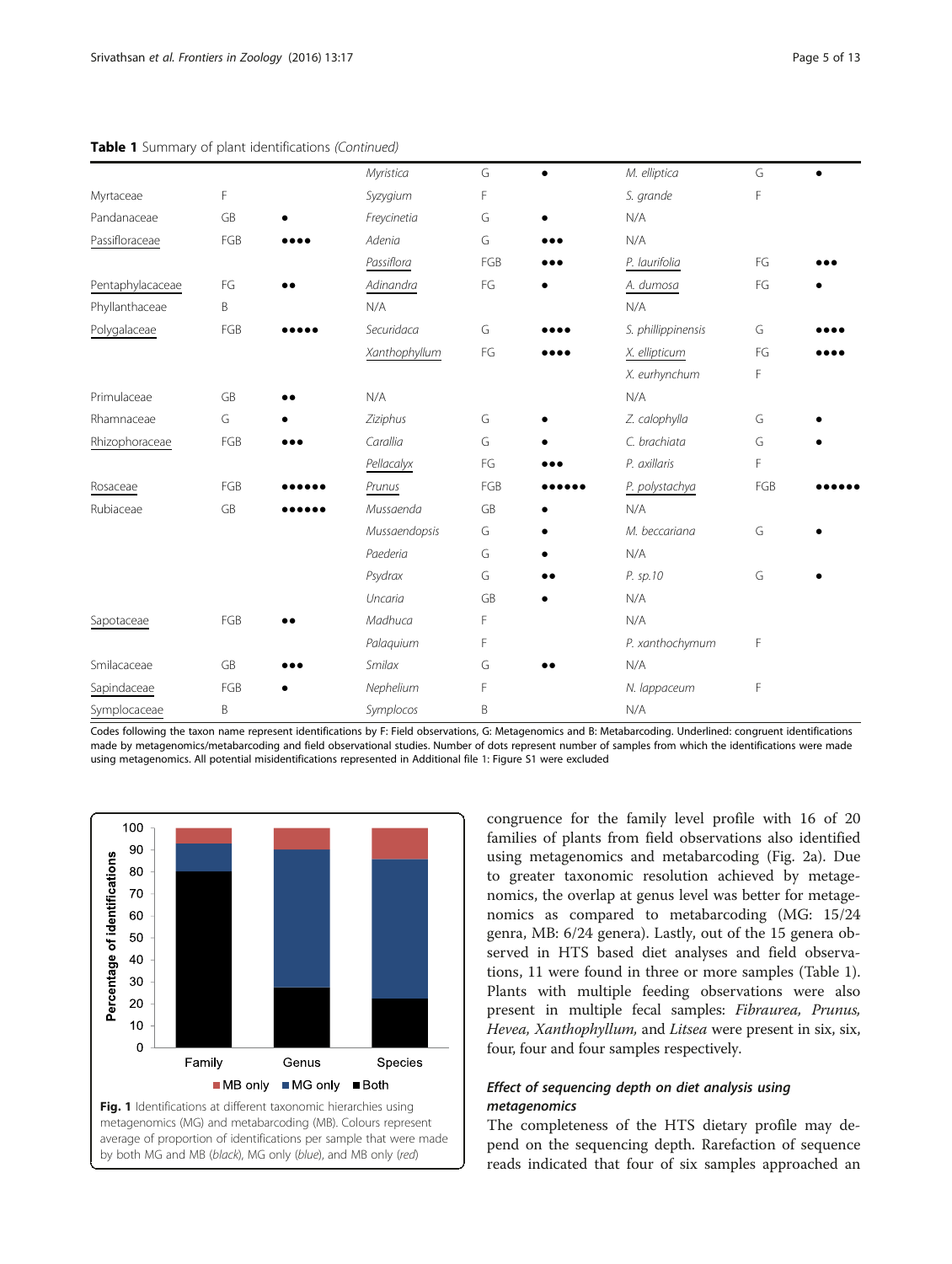<span id="page-4-0"></span>

|  |  |  |  | Table 1 Summary of plant identifications (Continued) |  |
|--|--|--|--|------------------------------------------------------|--|
|--|--|--|--|------------------------------------------------------|--|

|                  |     | Myristica            | G   | M. elliptica       | G   |  |
|------------------|-----|----------------------|-----|--------------------|-----|--|
| Myrtaceae        | F   | Syzygium             | F   | S. grande          | F   |  |
| Pandanaceae      | GB  | Freycinetia          | G   | N/A                |     |  |
| Passifloraceae   | FGB | Adenia               | G   | N/A                |     |  |
|                  |     | Passiflora           | FGB | P. laurifolia      | FG  |  |
| Pentaphylacaceae | FG  | Adinandra            | FG  | A. dumosa          | FG  |  |
| Phyllanthaceae   | B   | N/A                  |     | N/A                |     |  |
| Polygalaceae     | FGB | Securidaca           | G   | S. phillippinensis | G   |  |
|                  |     | <b>Xanthophyllum</b> | FG  | X. ellipticum      | FG  |  |
|                  |     |                      |     | X. eurhynchum      | F   |  |
| Primulaceae      | GB  | N/A                  |     | N/A                |     |  |
| Rhamnaceae       | G   | Ziziphus             | G   | Z. calophylla      | G   |  |
| Rhizophoraceae   | FGB | Carallia             | G   | C. brachiata       | G   |  |
|                  |     | Pellacalyx           | FG  | P. axillaris       | F   |  |
| Rosaceae         | FGB | Prunus               | FGB | P. polystachya     | FGB |  |
| Rubiaceae        | GB  | Mussaenda            | GB  | N/A                |     |  |
|                  |     | Mussaendopsis        | G   | M. beccariana      | G   |  |
|                  |     | Paederia             | G   | N/A                |     |  |
|                  |     | Psydrax              | G   | <br>P. sp.10       | G   |  |
|                  |     | Uncaria              | GB  | N/A                |     |  |
| Sapotaceae       | FGB | Madhuca              | F   | N/A                |     |  |
|                  |     | Palaquium            | F   | P. xanthochymum    | F   |  |
| Smilacaceae      | GB  | Smilax               | G   | N/A                |     |  |
| Sapindaceae      | FGB | Nephelium            | F   | N. lappaceum       | F   |  |
| Symplocaceae     | B   | Symplocos            | B   | N/A                |     |  |
|                  |     |                      |     |                    |     |  |

Codes following the taxon name represent identifications by F: Field observations, G: Metagenomics and B: Metabarcoding. Underlined: congruent identifications made by metagenomics/metabarcoding and field observational studies. Number of dots represent number of samples from which the identifications were made using metagenomics. All potential misidentifications represented in Additional file [1:](#page-11-0) Figure S1 were excluded



congruence for the family level profile with 16 of 20 families of plants from field observations also identified using metagenomics and metabarcoding (Fig. [2a\)](#page-5-0). Due to greater taxonomic resolution achieved by metagenomics, the overlap at genus level was better for metagenomics as compared to metabarcoding (MG: 15/24 genra, MB: 6/24 genera). Lastly, out of the 15 genera observed in HTS based diet analyses and field observations, 11 were found in three or more samples (Table [1](#page-3-0)). Plants with multiple feeding observations were also present in multiple fecal samples: Fibraurea, Prunus, Hevea, Xanthophyllum, and Litsea were present in six, six, four, four and four samples respectively.

## Effect of sequencing depth on diet analysis using metagenomics

The completeness of the HTS dietary profile may depend on the sequencing depth. Rarefaction of sequence reads indicated that four of six samples approached an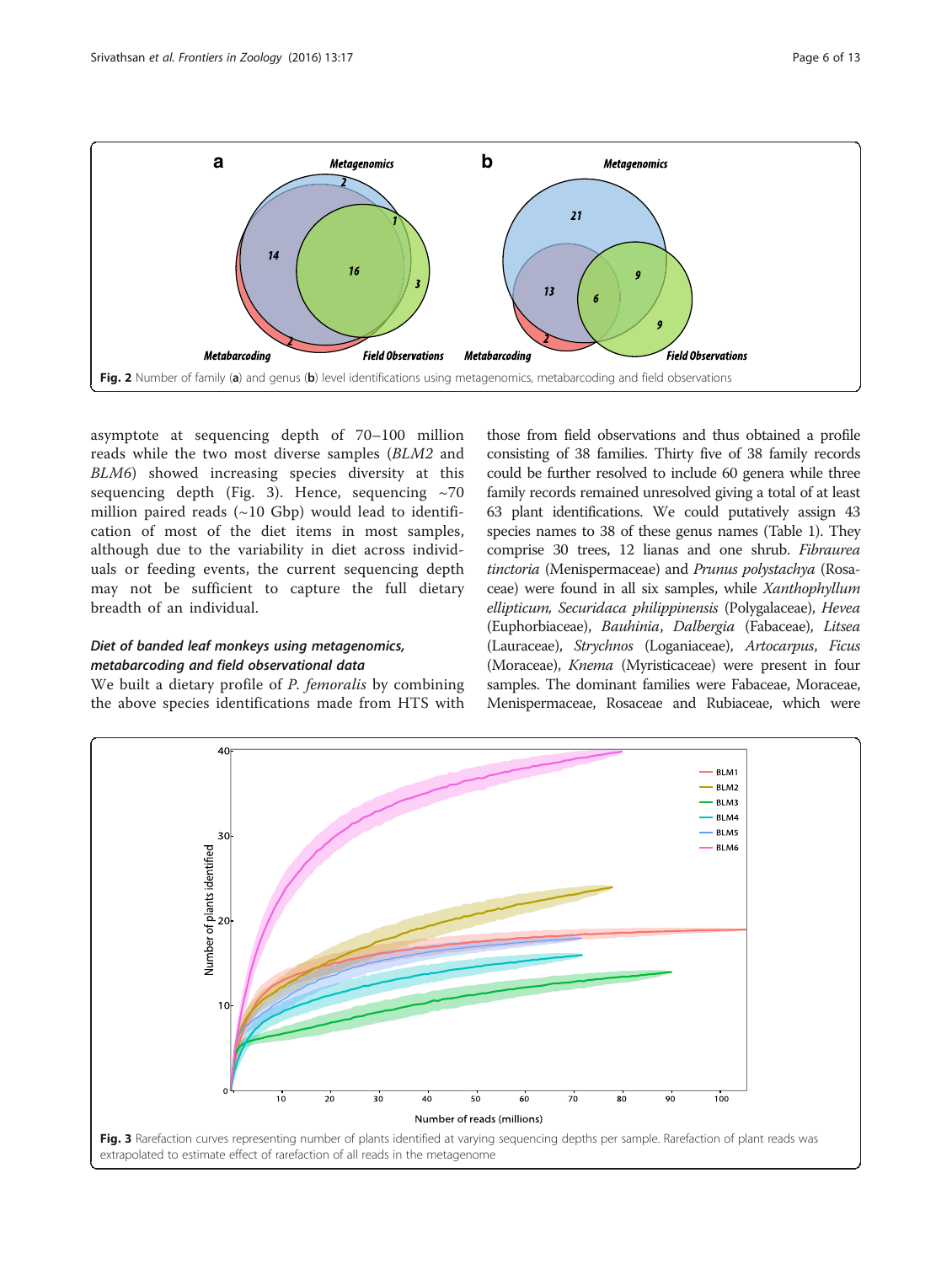<span id="page-5-0"></span>

asymptote at sequencing depth of 70–100 million reads while the two most diverse samples (BLM2 and BLM6) showed increasing species diversity at this sequencing depth (Fig. 3). Hence, sequencing  $\sim$ 70 million paired reads  $(\sim 10 \text{ Gbp})$  would lead to identification of most of the diet items in most samples, although due to the variability in diet across individuals or feeding events, the current sequencing depth may not be sufficient to capture the full dietary breadth of an individual.

## Diet of banded leaf monkeys using metagenomics, metabarcoding and field observational data

We built a dietary profile of *P. femoralis* by combining the above species identifications made from HTS with

those from field observations and thus obtained a profile consisting of 38 families. Thirty five of 38 family records could be further resolved to include 60 genera while three family records remained unresolved giving a total of at least 63 plant identifications. We could putatively assign 43 species names to 38 of these genus names (Table [1](#page-3-0)). They comprise 30 trees, 12 lianas and one shrub. Fibraurea tinctoria (Menispermaceae) and Prunus polystachya (Rosaceae) were found in all six samples, while Xanthophyllum ellipticum, Securidaca philippinensis (Polygalaceae), Hevea (Euphorbiaceae), Bauhinia, Dalbergia (Fabaceae), Litsea (Lauraceae), Strychnos (Loganiaceae), Artocarpus, Ficus (Moraceae), Knema (Myristicaceae) were present in four samples. The dominant families were Fabaceae, Moraceae, Menispermaceae, Rosaceae and Rubiaceae, which were

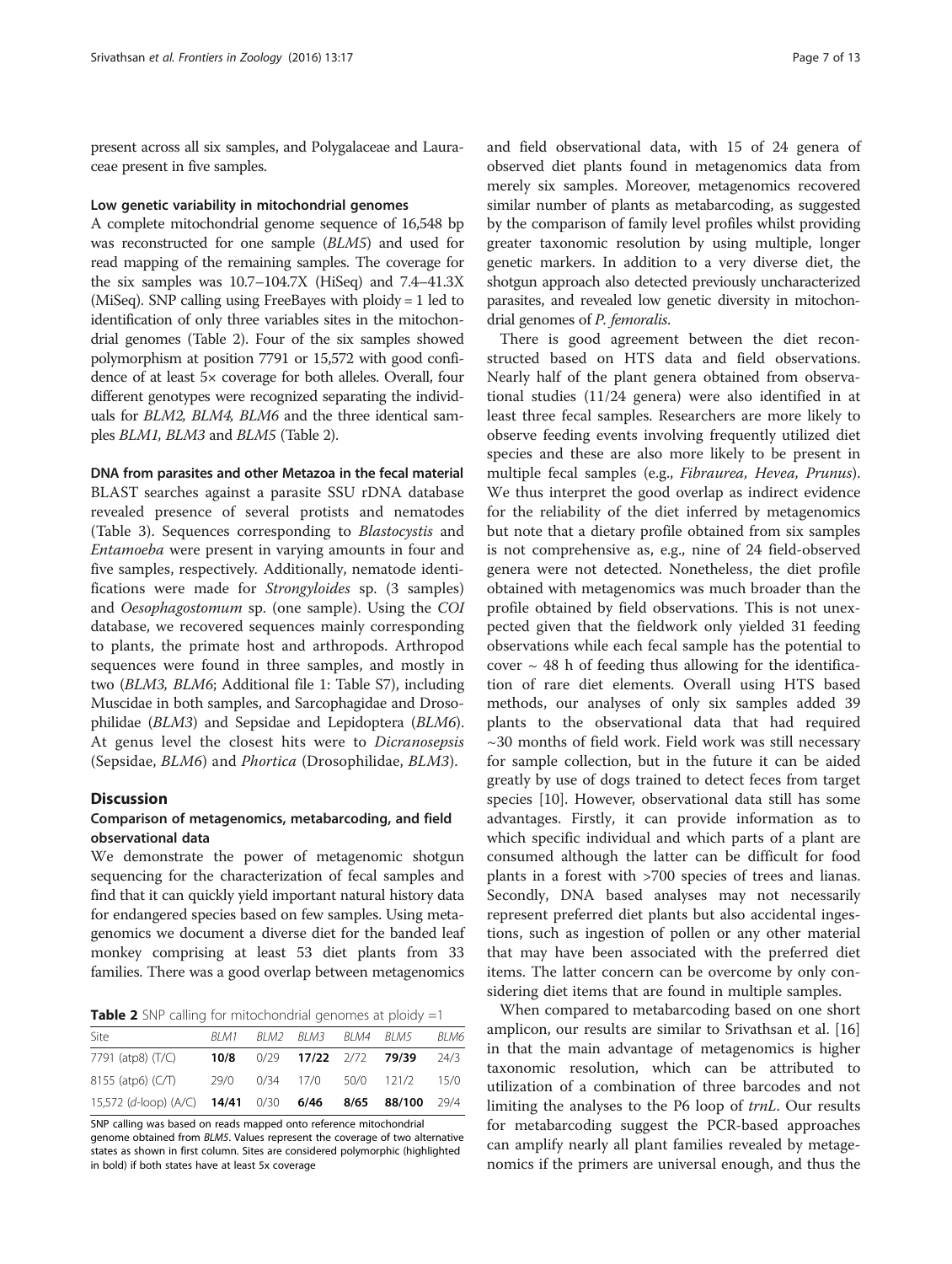<span id="page-6-0"></span>present across all six samples, and Polygalaceae and Lauraceae present in five samples.

#### Low genetic variability in mitochondrial genomes

A complete mitochondrial genome sequence of 16,548 bp was reconstructed for one sample (BLM5) and used for read mapping of the remaining samples. The coverage for the six samples was  $10.7-104.7X$  (HiSeg) and  $7.4-41.3X$ (MiSeq). SNP calling using FreeBayes with ploidy = 1 led to identification of only three variables sites in the mitochondrial genomes (Table 2). Four of the six samples showed polymorphism at position 7791 or 15,572 with good confidence of at least 5× coverage for both alleles. Overall, four different genotypes were recognized separating the individuals for BLM2, BLM4, BLM6 and the three identical samples BLM1, BLM3 and BLM5 (Table 2).

DNA from parasites and other Metazoa in the fecal material BLAST searches against a parasite SSU rDNA database revealed presence of several protists and nematodes (Table [3\)](#page-7-0). Sequences corresponding to Blastocystis and Entamoeba were present in varying amounts in four and five samples, respectively. Additionally, nematode identifications were made for Strongyloides sp. (3 samples) and Oesophagostomum sp. (one sample). Using the COI database, we recovered sequences mainly corresponding to plants, the primate host and arthropods. Arthropod sequences were found in three samples, and mostly in two (BLM3, BLM6; Additional file [1:](#page-11-0) Table S7), including Muscidae in both samples, and Sarcophagidae and Drosophilidae (BLM3) and Sepsidae and Lepidoptera (BLM6). At genus level the closest hits were to Dicranosepsis (Sepsidae, BLM6) and Phortica (Drosophilidae, BLM3).

#### **Discussion**

## Comparison of metagenomics, metabarcoding, and field observational data

We demonstrate the power of metagenomic shotgun sequencing for the characterization of fecal samples and find that it can quickly yield important natural history data for endangered species based on few samples. Using metagenomics we document a diverse diet for the banded leaf monkey comprising at least 53 diet plants from 33 families. There was a good overlap between metagenomics

**Table 2** SNP calling for mitochondrial genomes at ploidy  $=1$ 

| Site                                                                 | BI M1 | BLM2 BLM3 BLM4 BLM5   |                                | BLM6 |
|----------------------------------------------------------------------|-------|-----------------------|--------------------------------|------|
| 7791 (atp8) (T/C)                                                    | 10/8  | 0/29 17/22 2/72 79/39 |                                | 24/3 |
| 8155 (atp6) $(C/T)$                                                  |       |                       | 29/0 0/34 17/0 50/0 121/2 15/0 |      |
| 15,572 (d-loop) (A/C) <b>14/41</b> 0/30 <b>6/46 8/65 88/100</b> 29/4 |       |                       |                                |      |

SNP calling was based on reads mapped onto reference mitochondrial genome obtained from BLM5. Values represent the coverage of two alternative states as shown in first column. Sites are considered polymorphic (highlighted in bold) if both states have at least 5x coverage

and field observational data, with 15 of 24 genera of observed diet plants found in metagenomics data from merely six samples. Moreover, metagenomics recovered similar number of plants as metabarcoding, as suggested by the comparison of family level profiles whilst providing greater taxonomic resolution by using multiple, longer genetic markers. In addition to a very diverse diet, the shotgun approach also detected previously uncharacterized parasites, and revealed low genetic diversity in mitochondrial genomes of P. femoralis.

There is good agreement between the diet reconstructed based on HTS data and field observations. Nearly half of the plant genera obtained from observational studies (11/24 genera) were also identified in at least three fecal samples. Researchers are more likely to observe feeding events involving frequently utilized diet species and these are also more likely to be present in multiple fecal samples (e.g., Fibraurea, Hevea, Prunus). We thus interpret the good overlap as indirect evidence for the reliability of the diet inferred by metagenomics but note that a dietary profile obtained from six samples is not comprehensive as, e.g., nine of 24 field-observed genera were not detected. Nonetheless, the diet profile obtained with metagenomics was much broader than the profile obtained by field observations. This is not unexpected given that the fieldwork only yielded 31 feeding observations while each fecal sample has the potential to cover  $\sim$  48 h of feeding thus allowing for the identification of rare diet elements. Overall using HTS based methods, our analyses of only six samples added 39 plants to the observational data that had required ~30 months of field work. Field work was still necessary for sample collection, but in the future it can be aided greatly by use of dogs trained to detect feces from target species [\[10](#page-11-0)]. However, observational data still has some advantages. Firstly, it can provide information as to which specific individual and which parts of a plant are consumed although the latter can be difficult for food plants in a forest with >700 species of trees and lianas. Secondly, DNA based analyses may not necessarily represent preferred diet plants but also accidental ingestions, such as ingestion of pollen or any other material that may have been associated with the preferred diet items. The latter concern can be overcome by only considering diet items that are found in multiple samples.

When compared to metabarcoding based on one short amplicon, our results are similar to Srivathsan et al. [[16](#page-11-0)] in that the main advantage of metagenomics is higher taxonomic resolution, which can be attributed to utilization of a combination of three barcodes and not limiting the analyses to the P6 loop of trnL. Our results for metabarcoding suggest the PCR-based approaches can amplify nearly all plant families revealed by metagenomics if the primers are universal enough, and thus the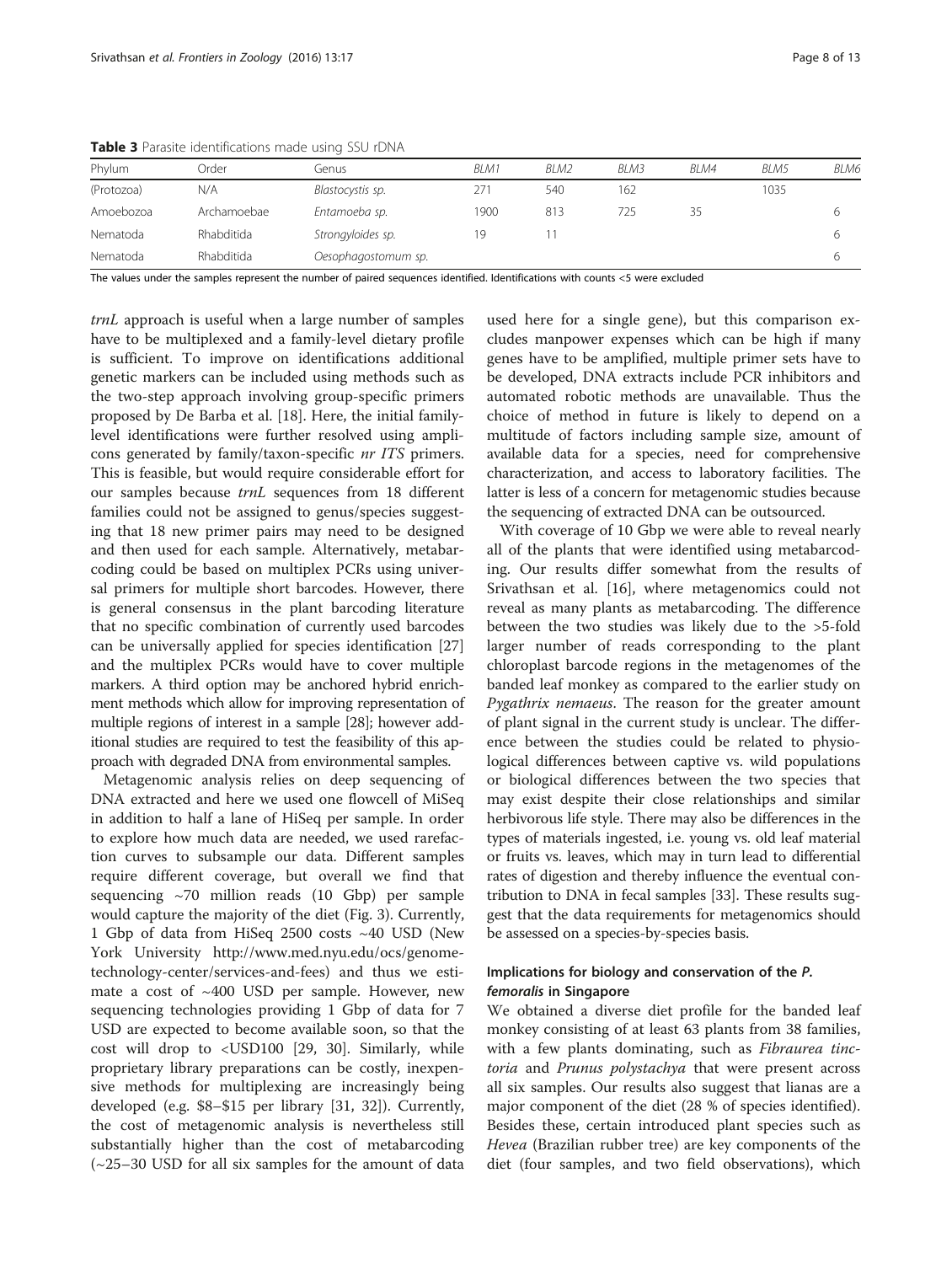| Phylum     | Order       | Genus               | BLM1 | BLM2 | BLM3 | BLM4 | BLM5 | BLM6 |
|------------|-------------|---------------------|------|------|------|------|------|------|
| (Protozoa) | N/A         | Blastocystis sp.    | 271  | 540  | 162  |      | 1035 |      |
| Amoebozoa  | Archamoebae | Entamoeba sp.       | 1900 | 813  | 725  | 35   |      | 6    |
| Nematoda   | Rhabditida  | Strongyloides sp.   | 19   |      |      |      |      | b    |
| Nematoda   | Rhabditida  | Oesophagostomum sp. |      |      |      |      |      | ь    |

<span id="page-7-0"></span>Table 3 Parasite identifications made using SSU rDNA

The values under the samples represent the number of paired sequences identified. Identifications with counts <5 were excluded

trnL approach is useful when a large number of samples have to be multiplexed and a family-level dietary profile is sufficient. To improve on identifications additional genetic markers can be included using methods such as the two-step approach involving group-specific primers proposed by De Barba et al. [[18\]](#page-11-0). Here, the initial familylevel identifications were further resolved using amplicons generated by family/taxon-specific nr ITS primers. This is feasible, but would require considerable effort for our samples because trnL sequences from 18 different families could not be assigned to genus/species suggesting that 18 new primer pairs may need to be designed and then used for each sample. Alternatively, metabarcoding could be based on multiplex PCRs using universal primers for multiple short barcodes. However, there is general consensus in the plant barcoding literature that no specific combination of currently used barcodes can be universally applied for species identification [[27](#page-11-0)] and the multiplex PCRs would have to cover multiple markers. A third option may be anchored hybrid enrichment methods which allow for improving representation of multiple regions of interest in a sample [\[28](#page-11-0)]; however additional studies are required to test the feasibility of this approach with degraded DNA from environmental samples.

Metagenomic analysis relies on deep sequencing of DNA extracted and here we used one flowcell of MiSeq in addition to half a lane of HiSeq per sample. In order to explore how much data are needed, we used rarefaction curves to subsample our data. Different samples require different coverage, but overall we find that sequencing  $\sim$ 70 million reads (10 Gbp) per sample would capture the majority of the diet (Fig. [3\)](#page-5-0). Currently, 1 Gbp of data from HiSeq 2500 costs ~40 USD (New York University [http://www.med.nyu.edu/ocs/genome](http://www.med.nyu.edu/ocs/genome-technology-center/services-and-fees)[technology-center/services-and-fees\)](http://www.med.nyu.edu/ocs/genome-technology-center/services-and-fees) and thus we estimate a cost of ~400 USD per sample. However, new sequencing technologies providing 1 Gbp of data for 7 USD are expected to become available soon, so that the cost will drop to <USD100 [\[29](#page-11-0), [30\]](#page-11-0). Similarly, while proprietary library preparations can be costly, inexpensive methods for multiplexing are increasingly being developed (e.g. \$8–\$15 per library [[31, 32](#page-11-0)]). Currently, the cost of metagenomic analysis is nevertheless still substantially higher than the cost of metabarcoding (~25–30 USD for all six samples for the amount of data

used here for a single gene), but this comparison excludes manpower expenses which can be high if many genes have to be amplified, multiple primer sets have to be developed, DNA extracts include PCR inhibitors and automated robotic methods are unavailable. Thus the choice of method in future is likely to depend on a multitude of factors including sample size, amount of available data for a species, need for comprehensive characterization, and access to laboratory facilities. The latter is less of a concern for metagenomic studies because the sequencing of extracted DNA can be outsourced.

With coverage of 10 Gbp we were able to reveal nearly all of the plants that were identified using metabarcoding. Our results differ somewhat from the results of Srivathsan et al. [[16](#page-11-0)], where metagenomics could not reveal as many plants as metabarcoding. The difference between the two studies was likely due to the >5-fold larger number of reads corresponding to the plant chloroplast barcode regions in the metagenomes of the banded leaf monkey as compared to the earlier study on Pygathrix nemaeus. The reason for the greater amount of plant signal in the current study is unclear. The difference between the studies could be related to physiological differences between captive vs. wild populations or biological differences between the two species that may exist despite their close relationships and similar herbivorous life style. There may also be differences in the types of materials ingested, i.e. young vs. old leaf material or fruits vs. leaves, which may in turn lead to differential rates of digestion and thereby influence the eventual contribution to DNA in fecal samples [[33](#page-11-0)]. These results suggest that the data requirements for metagenomics should be assessed on a species-by-species basis.

## Implications for biology and conservation of the P. femoralis in Singapore

We obtained a diverse diet profile for the banded leaf monkey consisting of at least 63 plants from 38 families, with a few plants dominating, such as Fibraurea tinctoria and Prunus polystachya that were present across all six samples. Our results also suggest that lianas are a major component of the diet (28 % of species identified). Besides these, certain introduced plant species such as Hevea (Brazilian rubber tree) are key components of the diet (four samples, and two field observations), which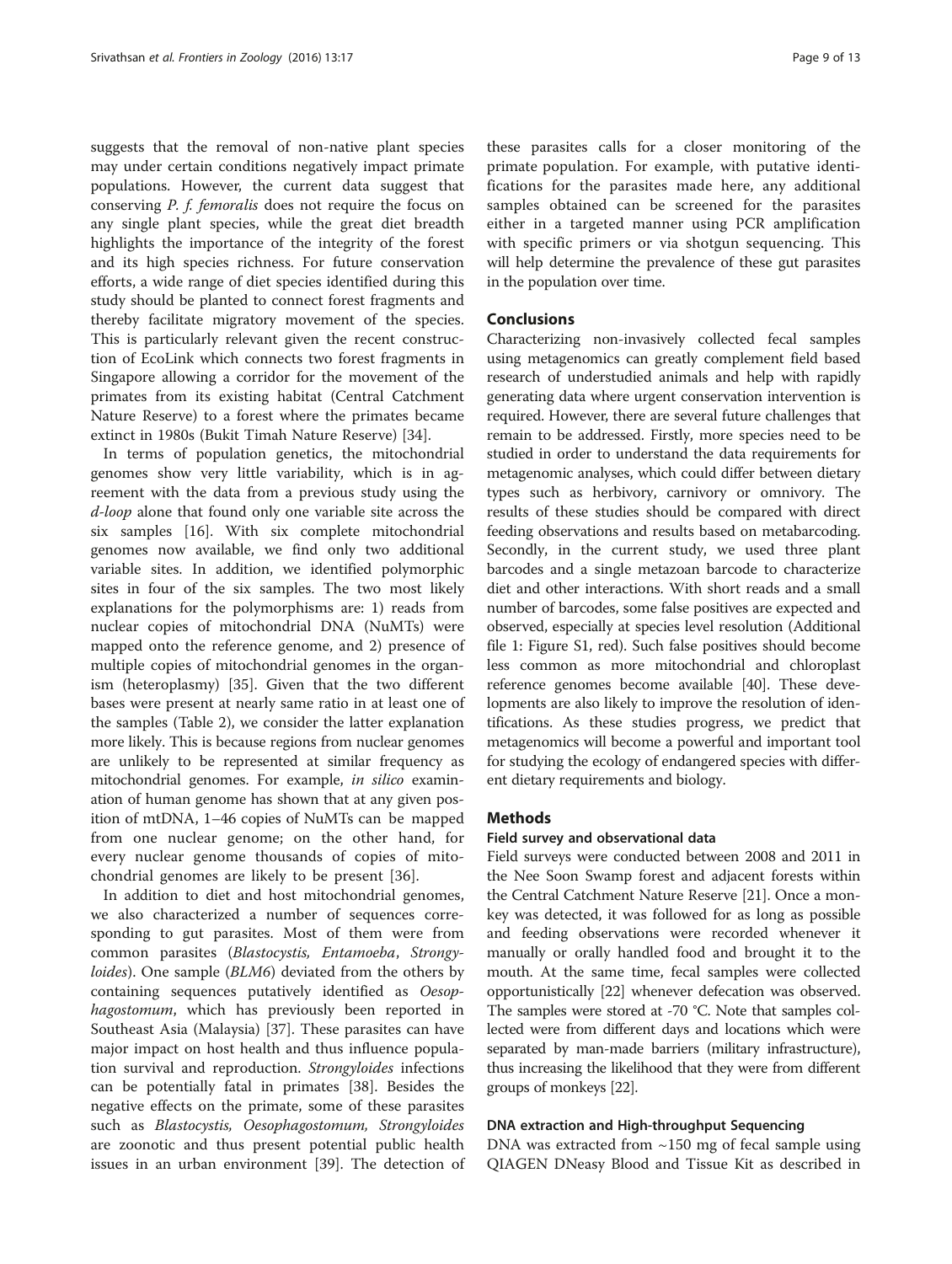<span id="page-8-0"></span>suggests that the removal of non-native plant species may under certain conditions negatively impact primate populations. However, the current data suggest that conserving P. f. femoralis does not require the focus on any single plant species, while the great diet breadth highlights the importance of the integrity of the forest and its high species richness. For future conservation efforts, a wide range of diet species identified during this study should be planted to connect forest fragments and thereby facilitate migratory movement of the species. This is particularly relevant given the recent construction of EcoLink which connects two forest fragments in Singapore allowing a corridor for the movement of the primates from its existing habitat (Central Catchment Nature Reserve) to a forest where the primates became extinct in 1980s (Bukit Timah Nature Reserve) [[34\]](#page-11-0).

In terms of population genetics, the mitochondrial genomes show very little variability, which is in agreement with the data from a previous study using the d-loop alone that found only one variable site across the six samples [\[16](#page-11-0)]. With six complete mitochondrial genomes now available, we find only two additional variable sites. In addition, we identified polymorphic sites in four of the six samples. The two most likely explanations for the polymorphisms are: 1) reads from nuclear copies of mitochondrial DNA (NuMTs) were mapped onto the reference genome, and 2) presence of multiple copies of mitochondrial genomes in the organism (heteroplasmy) [\[35\]](#page-11-0). Given that the two different bases were present at nearly same ratio in at least one of the samples (Table [2\)](#page-6-0), we consider the latter explanation more likely. This is because regions from nuclear genomes are unlikely to be represented at similar frequency as mitochondrial genomes. For example, in silico examination of human genome has shown that at any given position of mtDNA, 1–46 copies of NuMTs can be mapped from one nuclear genome; on the other hand, for every nuclear genome thousands of copies of mitochondrial genomes are likely to be present [[36](#page-11-0)].

In addition to diet and host mitochondrial genomes, we also characterized a number of sequences corresponding to gut parasites. Most of them were from common parasites (Blastocystis, Entamoeba, Strongy*loides*). One sample (*BLM6*) deviated from the others by containing sequences putatively identified as Oesophagostomum, which has previously been reported in Southeast Asia (Malaysia) [\[37](#page-11-0)]. These parasites can have major impact on host health and thus influence population survival and reproduction. Strongyloides infections can be potentially fatal in primates [\[38](#page-11-0)]. Besides the negative effects on the primate, some of these parasites such as Blastocystis, Oesophagostomum, Strongyloides are zoonotic and thus present potential public health issues in an urban environment [[39\]](#page-11-0). The detection of

these parasites calls for a closer monitoring of the primate population. For example, with putative identifications for the parasites made here, any additional samples obtained can be screened for the parasites either in a targeted manner using PCR amplification with specific primers or via shotgun sequencing. This will help determine the prevalence of these gut parasites in the population over time.

## Conclusions

Characterizing non-invasively collected fecal samples using metagenomics can greatly complement field based research of understudied animals and help with rapidly generating data where urgent conservation intervention is required. However, there are several future challenges that remain to be addressed. Firstly, more species need to be studied in order to understand the data requirements for metagenomic analyses, which could differ between dietary types such as herbivory, carnivory or omnivory. The results of these studies should be compared with direct feeding observations and results based on metabarcoding. Secondly, in the current study, we used three plant barcodes and a single metazoan barcode to characterize diet and other interactions. With short reads and a small number of barcodes, some false positives are expected and observed, especially at species level resolution (Additional file [1:](#page-11-0) Figure S1, red). Such false positives should become less common as more mitochondrial and chloroplast reference genomes become available [\[40\]](#page-12-0). These developments are also likely to improve the resolution of identifications. As these studies progress, we predict that metagenomics will become a powerful and important tool for studying the ecology of endangered species with different dietary requirements and biology.

## **Methods**

#### Field survey and observational data

Field surveys were conducted between 2008 and 2011 in the Nee Soon Swamp forest and adjacent forests within the Central Catchment Nature Reserve [\[21](#page-11-0)]. Once a monkey was detected, it was followed for as long as possible and feeding observations were recorded whenever it manually or orally handled food and brought it to the mouth. At the same time, fecal samples were collected opportunistically [[22](#page-11-0)] whenever defecation was observed. The samples were stored at -70 °C. Note that samples collected were from different days and locations which were separated by man-made barriers (military infrastructure), thus increasing the likelihood that they were from different groups of monkeys [[22](#page-11-0)].

#### DNA extraction and High-throughput Sequencing

DNA was extracted from  $\sim$ 150 mg of fecal sample using QIAGEN DNeasy Blood and Tissue Kit as described in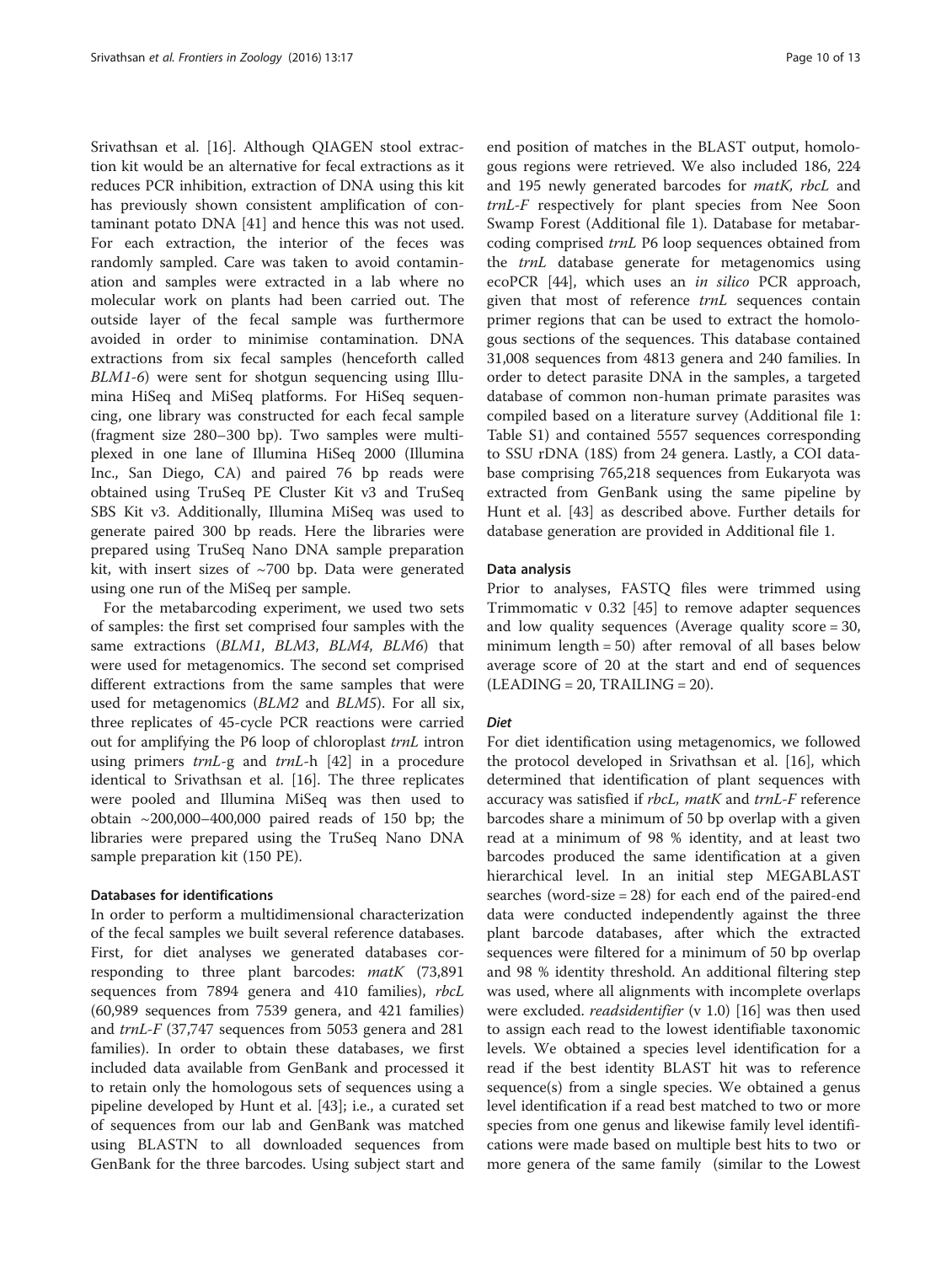Srivathsan et al. [\[16](#page-11-0)]. Although QIAGEN stool extraction kit would be an alternative for fecal extractions as it reduces PCR inhibition, extraction of DNA using this kit has previously shown consistent amplification of contaminant potato DNA [\[41](#page-12-0)] and hence this was not used. For each extraction, the interior of the feces was randomly sampled. Care was taken to avoid contamination and samples were extracted in a lab where no molecular work on plants had been carried out. The outside layer of the fecal sample was furthermore avoided in order to minimise contamination. DNA extractions from six fecal samples (henceforth called BLM1-6) were sent for shotgun sequencing using Illumina HiSeq and MiSeq platforms. For HiSeq sequencing, one library was constructed for each fecal sample (fragment size 280–300 bp). Two samples were multiplexed in one lane of Illumina HiSeq 2000 (Illumina Inc., San Diego, CA) and paired 76 bp reads were obtained using TruSeq PE Cluster Kit v3 and TruSeq SBS Kit v3. Additionally, Illumina MiSeq was used to generate paired 300 bp reads. Here the libraries were prepared using TruSeq Nano DNA sample preparation kit, with insert sizes of  $~1700$  bp. Data were generated using one run of the MiSeq per sample.

For the metabarcoding experiment, we used two sets of samples: the first set comprised four samples with the same extractions (BLM1, BLM3, BLM4, BLM6) that were used for metagenomics. The second set comprised different extractions from the same samples that were used for metagenomics (BLM2 and BLM5). For all six, three replicates of 45-cycle PCR reactions were carried out for amplifying the P6 loop of chloroplast trnL intron using primers *trnL*-g and *trnL*-h [\[42](#page-12-0)] in a procedure identical to Srivathsan et al. [\[16](#page-11-0)]. The three replicates were pooled and Illumina MiSeq was then used to obtain ~200,000–400,000 paired reads of 150 bp; the libraries were prepared using the TruSeq Nano DNA sample preparation kit (150 PE).

## Databases for identifications

In order to perform a multidimensional characterization of the fecal samples we built several reference databases. First, for diet analyses we generated databases corresponding to three plant barcodes: matK (73,891 sequences from 7894 genera and 410 families), rbcL (60,989 sequences from 7539 genera, and 421 families) and trnL-F (37,747 sequences from 5053 genera and 281 families). In order to obtain these databases, we first included data available from GenBank and processed it to retain only the homologous sets of sequences using a pipeline developed by Hunt et al. [[43\]](#page-12-0); i.e., a curated set of sequences from our lab and GenBank was matched using BLASTN to all downloaded sequences from GenBank for the three barcodes. Using subject start and

end position of matches in the BLAST output, homologous regions were retrieved. We also included 186, 224 and 195 newly generated barcodes for matK, rbcL and trnL-F respectively for plant species from Nee Soon Swamp Forest (Additional file [1](#page-11-0)). Database for metabarcoding comprised trnL P6 loop sequences obtained from the trnL database generate for metagenomics using ecoPCR [[44\]](#page-12-0), which uses an in silico PCR approach, given that most of reference trnL sequences contain primer regions that can be used to extract the homologous sections of the sequences. This database contained 31,008 sequences from 4813 genera and 240 families. In order to detect parasite DNA in the samples, a targeted database of common non-human primate parasites was compiled based on a literature survey (Additional file [1](#page-11-0): Table S1) and contained 5557 sequences corresponding to SSU rDNA (18S) from 24 genera. Lastly, a COI database comprising 765,218 sequences from Eukaryota was extracted from GenBank using the same pipeline by Hunt et al. [[43\]](#page-12-0) as described above. Further details for database generation are provided in Additional file [1](#page-11-0).

#### Data analysis

Prior to analyses, FASTQ files were trimmed using Trimmomatic v 0.32 [[45\]](#page-12-0) to remove adapter sequences and low quality sequences (Average quality score = 30, minimum length = 50) after removal of all bases below average score of 20 at the start and end of sequences  $(LEADING = 20, TRAILING = 20).$ 

#### Diet

For diet identification using metagenomics, we followed the protocol developed in Srivathsan et al. [[16](#page-11-0)], which determined that identification of plant sequences with accuracy was satisfied if rbcL, matK and trnL-F reference barcodes share a minimum of 50 bp overlap with a given read at a minimum of 98 % identity, and at least two barcodes produced the same identification at a given hierarchical level. In an initial step MEGABLAST searches (word-size = 28) for each end of the paired-end data were conducted independently against the three plant barcode databases, after which the extracted sequences were filtered for a minimum of 50 bp overlap and 98 % identity threshold. An additional filtering step was used, where all alignments with incomplete overlaps were excluded. *readsidentifier* (v 1.0) [[16](#page-11-0)] was then used to assign each read to the lowest identifiable taxonomic levels. We obtained a species level identification for a read if the best identity BLAST hit was to reference sequence(s) from a single species. We obtained a genus level identification if a read best matched to two or more species from one genus and likewise family level identifications were made based on multiple best hits to two or more genera of the same family (similar to the Lowest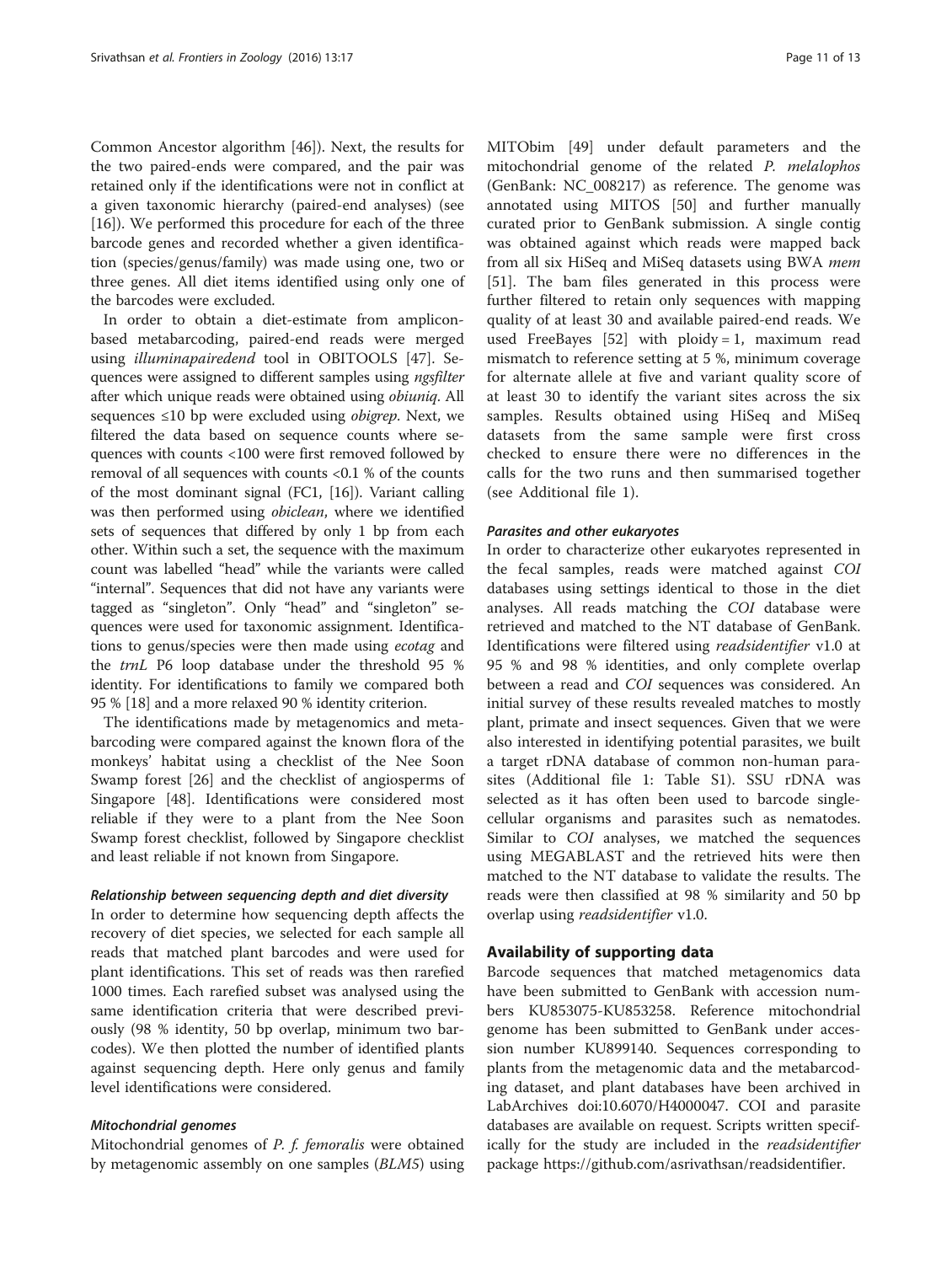Common Ancestor algorithm [\[46](#page-12-0)]). Next, the results for the two paired-ends were compared, and the pair was retained only if the identifications were not in conflict at a given taxonomic hierarchy (paired-end analyses) (see [[16\]](#page-11-0)). We performed this procedure for each of the three barcode genes and recorded whether a given identification (species/genus/family) was made using one, two or three genes. All diet items identified using only one of the barcodes were excluded.

In order to obtain a diet-estimate from ampliconbased metabarcoding, paired-end reads were merged using illuminapairedend tool in OBITOOLS [\[47\]](#page-12-0). Sequences were assigned to different samples using ngsfilter after which unique reads were obtained using obiuniq. All sequences ≤10 bp were excluded using obigrep. Next, we filtered the data based on sequence counts where sequences with counts <100 were first removed followed by removal of all sequences with counts <0.1 % of the counts of the most dominant signal (FC1, [\[16\]](#page-11-0)). Variant calling was then performed using obiclean, where we identified sets of sequences that differed by only 1 bp from each other. Within such a set, the sequence with the maximum count was labelled "head" while the variants were called "internal". Sequences that did not have any variants were tagged as "singleton". Only "head" and "singleton" sequences were used for taxonomic assignment. Identifications to genus/species were then made using ecotag and the trnL P6 loop database under the threshold 95 % identity. For identifications to family we compared both 95 % [\[18](#page-11-0)] and a more relaxed 90 % identity criterion.

The identifications made by metagenomics and metabarcoding were compared against the known flora of the monkeys' habitat using a checklist of the Nee Soon Swamp forest [\[26\]](#page-11-0) and the checklist of angiosperms of Singapore [[48\]](#page-12-0). Identifications were considered most reliable if they were to a plant from the Nee Soon Swamp forest checklist, followed by Singapore checklist and least reliable if not known from Singapore.

#### Relationship between sequencing depth and diet diversity

In order to determine how sequencing depth affects the recovery of diet species, we selected for each sample all reads that matched plant barcodes and were used for plant identifications. This set of reads was then rarefied 1000 times. Each rarefied subset was analysed using the same identification criteria that were described previously (98 % identity, 50 bp overlap, minimum two barcodes). We then plotted the number of identified plants against sequencing depth. Here only genus and family level identifications were considered.

## Mitochondrial genomes

Mitochondrial genomes of P. f. femoralis were obtained by metagenomic assembly on one samples (BLM5) using MITObim [[49\]](#page-12-0) under default parameters and the mitochondrial genome of the related P. melalophos (GenBank: NC\_008217) as reference. The genome was annotated using MITOS [\[50](#page-12-0)] and further manually curated prior to GenBank submission. A single contig was obtained against which reads were mapped back from all six HiSeq and MiSeq datasets using BWA mem [[51\]](#page-12-0). The bam files generated in this process were further filtered to retain only sequences with mapping quality of at least 30 and available paired-end reads. We used FreeBayes  $[52]$  $[52]$  with ploidy = 1, maximum read mismatch to reference setting at 5 %, minimum coverage for alternate allele at five and variant quality score of at least 30 to identify the variant sites across the six samples. Results obtained using HiSeq and MiSeq datasets from the same sample were first cross checked to ensure there were no differences in the calls for the two runs and then summarised together (see Additional file [1](#page-11-0)).

## Parasites and other eukaryotes

In order to characterize other eukaryotes represented in the fecal samples, reads were matched against COI databases using settings identical to those in the diet analyses. All reads matching the COI database were retrieved and matched to the NT database of GenBank. Identifications were filtered using readsidentifier v1.0 at 95 % and 98 % identities, and only complete overlap between a read and COI sequences was considered. An initial survey of these results revealed matches to mostly plant, primate and insect sequences. Given that we were also interested in identifying potential parasites, we built a target rDNA database of common non-human parasites (Additional file [1:](#page-11-0) Table S1). SSU rDNA was selected as it has often been used to barcode singlecellular organisms and parasites such as nematodes. Similar to COI analyses, we matched the sequences using MEGABLAST and the retrieved hits were then matched to the NT database to validate the results. The reads were then classified at 98 % similarity and 50 bp overlap using readsidentifier v1.0.

## Availability of supporting data

Barcode sequences that matched metagenomics data have been submitted to GenBank with accession numbers KU853075-KU853258. Reference mitochondrial genome has been submitted to GenBank under accession number KU899140. Sequences corresponding to plants from the metagenomic data and the metabarcoding dataset, and plant databases have been archived in LabArchives doi:[10.6070/H4000047.](http://dx.doi.org/10.6070/H4000047) COI and parasite databases are available on request. Scripts written specifically for the study are included in the *readsidentifier* package<https://github.com/asrivathsan/readsidentifier>.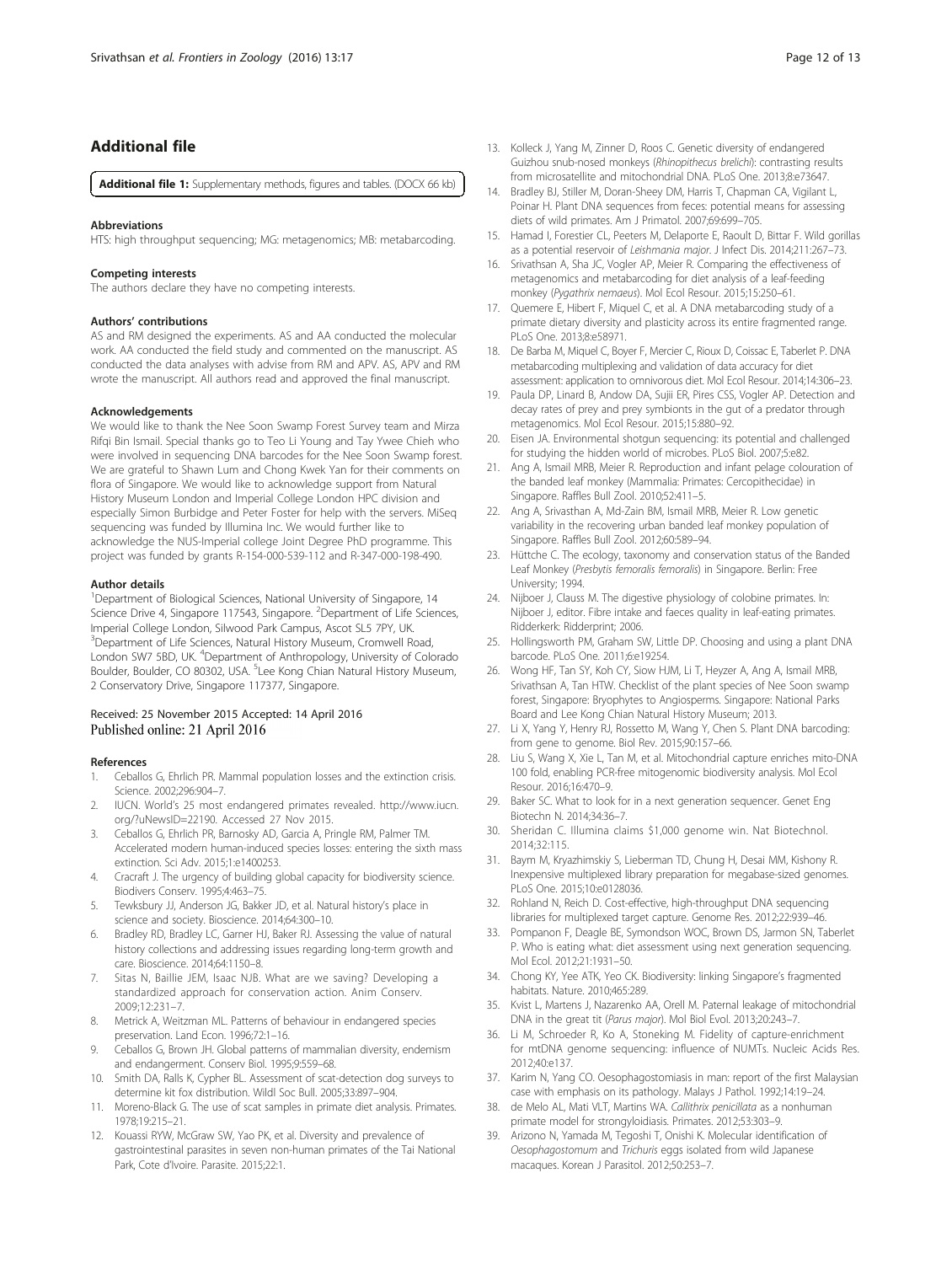## <span id="page-11-0"></span>Additional file

[Additional file 1:](dx.doi.org/10.1186/s12983-016-0150-4) Supplementary methods, figures and tables. (DOCX 66 kb)

#### Abbreviations

HTS: high throughput sequencing; MG: metagenomics; MB: metabarcoding.

#### Competing interests

The authors declare they have no competing interests.

#### Authors' contributions

AS and RM designed the experiments. AS and AA conducted the molecular work. AA conducted the field study and commented on the manuscript. AS conducted the data analyses with advise from RM and APV. AS, APV and RM wrote the manuscript. All authors read and approved the final manuscript.

#### Acknowledgements

We would like to thank the Nee Soon Swamp Forest Survey team and Mirza Rifqi Bin Ismail. Special thanks go to Teo Li Young and Tay Ywee Chieh who were involved in sequencing DNA barcodes for the Nee Soon Swamp forest. We are grateful to Shawn Lum and Chong Kwek Yan for their comments on flora of Singapore. We would like to acknowledge support from Natural History Museum London and Imperial College London HPC division and especially Simon Burbidge and Peter Foster for help with the servers. MiSeq sequencing was funded by Illumina Inc. We would further like to acknowledge the NUS-Imperial college Joint Degree PhD programme. This project was funded by grants R-154-000-539-112 and R-347-000-198-490.

#### Author details

<sup>1</sup>Department of Biological Sciences, National University of Singapore, 14 Science Drive 4, Singapore 117543, Singapore. <sup>2</sup>Department of Life Sciences, Imperial College London, Silwood Park Campus, Ascot SL5 7PY, UK. <sup>3</sup> Department of Life Sciences, Natural History Museum, Cromwell Road, London SW7 5BD, UK. <sup>4</sup>Department of Anthropology, University of Colorado Boulder, Boulder, CO 80302, USA. <sup>5</sup>Lee Kong Chian Natural History Museum, 2 Conservatory Drive, Singapore 117377, Singapore.

#### Received: 25 November 2015 Accepted: 14 April 2016 Published online: 21 April 2016

#### References

- 1. Ceballos G, Ehrlich PR. Mammal population losses and the extinction crisis. Science. 2002;296:904–7.
- 2. IUCN. World's 25 most endangered primates revealed. [http://www.iucn.](http://www.iucn.org/?uNewsID=22190) [org/?uNewsID=22190.](http://www.iucn.org/?uNewsID=22190) Accessed 27 Nov 2015.
- 3. Ceballos G, Ehrlich PR, Barnosky AD, Garcia A, Pringle RM, Palmer TM. Accelerated modern human-induced species losses: entering the sixth mass extinction. Sci Adv. 2015;1:e1400253.
- 4. Cracraft J. The urgency of building global capacity for biodiversity science. Biodivers Conserv. 1995;4:463–75.
- 5. Tewksbury JJ, Anderson JG, Bakker JD, et al. Natural history's place in science and society. Bioscience. 2014;64:300–10.
- 6. Bradley RD, Bradley LC, Garner HJ, Baker RJ. Assessing the value of natural history collections and addressing issues regarding long-term growth and care. Bioscience. 2014;64:1150–8.
- 7. Sitas N, Baillie JEM, Isaac NJB. What are we saving? Developing a standardized approach for conservation action. Anim Conserv. 2009;12:231–7.
- 8. Metrick A, Weitzman ML. Patterns of behaviour in endangered species preservation. Land Econ. 1996;72:1–16.
- 9. Ceballos G, Brown JH. Global patterns of mammalian diversity, endemism and endangerment. Conserv Biol. 1995;9:559–68.
- 10. Smith DA, Ralls K, Cypher BL. Assessment of scat-detection dog surveys to determine kit fox distribution. Wildl Soc Bull. 2005;33:897–904.
- 11. Moreno-Black G. The use of scat samples in primate diet analysis. Primates. 1978;19:215–21.
- 12. Kouassi RYW, McGraw SW, Yao PK, et al. Diversity and prevalence of gastrointestinal parasites in seven non-human primates of the Tai National Park, Cote d'Ivoire. Parasite. 2015;22:1.
- 13. Kolleck J, Yang M, Zinner D, Roos C. Genetic diversity of endangered Guizhou snub-nosed monkeys (Rhinopithecus brelichi): contrasting results from microsatellite and mitochondrial DNA. PLoS One. 2013;8:e73647.
- 14. Bradley BJ, Stiller M, Doran-Sheey DM, Harris T, Chapman CA, Vigilant L, Poinar H. Plant DNA sequences from feces: potential means for assessing diets of wild primates. Am J Primatol. 2007;69:699–705.
- 15. Hamad I, Forestier CL, Peeters M, Delaporte E, Raoult D, Bittar F. Wild gorillas as a potential reservoir of Leishmania major. J Infect Dis. 2014;211:267–73.
- 16. Srivathsan A, Sha JC, Vogler AP, Meier R. Comparing the effectiveness of metagenomics and metabarcoding for diet analysis of a leaf-feeding monkey (Pygathrix nemaeus). Mol Ecol Resour. 2015;15:250–61.
- 17. Ouemere E, Hibert F, Miquel C, et al. A DNA metabarcoding study of a primate dietary diversity and plasticity across its entire fragmented range. PLoS One. 2013;8:e58971.
- 18. De Barba M, Miquel C, Boyer F, Mercier C, Rioux D, Coissac E, Taberlet P. DNA metabarcoding multiplexing and validation of data accuracy for diet assessment: application to omnivorous diet. Mol Ecol Resour. 2014;14:306–23.
- 19. Paula DP, Linard B, Andow DA, Sujii ER, Pires CSS, Vogler AP. Detection and decay rates of prey and prey symbionts in the gut of a predator through metagenomics. Mol Ecol Resour. 2015;15:880–92.
- 20. Eisen JA. Environmental shotgun sequencing: its potential and challenged for studying the hidden world of microbes. PLoS Biol. 2007;5:e82.
- 21. Ang A, Ismail MRB, Meier R. Reproduction and infant pelage colouration of the banded leaf monkey (Mammalia: Primates: Cercopithecidae) in Singapore. Raffles Bull Zool. 2010;52:411–5.
- 22. Ang A, Srivasthan A, Md-Zain BM, Ismail MRB, Meier R. Low genetic variability in the recovering urban banded leaf monkey population of Singapore. Raffles Bull Zool. 2012;60:589–94.
- 23. Hüttche C. The ecology, taxonomy and conservation status of the Banded Leaf Monkey (Presbytis femoralis femoralis) in Singapore. Berlin: Free University; 1994.
- 24. Nijboer J, Clauss M. The digestive physiology of colobine primates. In: Nijboer J, editor. Fibre intake and faeces quality in leaf-eating primates. Ridderkerk: Ridderprint; 2006.
- 25. Hollingsworth PM, Graham SW, Little DP. Choosing and using a plant DNA barcode. PLoS One. 2011;6:e19254.
- 26. Wong HF, Tan SY, Koh CY, Siow HJM, Li T, Heyzer A, Ang A, Ismail MRB, Srivathsan A, Tan HTW. Checklist of the plant species of Nee Soon swamp forest, Singapore: Bryophytes to Angiosperms. Singapore: National Parks Board and Lee Kong Chian Natural History Museum; 2013.
- 27. Li X, Yang Y, Henry RJ, Rossetto M, Wang Y, Chen S. Plant DNA barcoding: from gene to genome. Biol Rev. 2015;90:157–66.
- 28. Liu S, Wang X, Xie L, Tan M, et al. Mitochondrial capture enriches mito-DNA 100 fold, enabling PCR-free mitogenomic biodiversity analysis. Mol Ecol Resour. 2016;16:470–9.
- 29. Baker SC. What to look for in a next generation sequencer. Genet Eng Biotechn N. 2014;34:36–7.
- 30. Sheridan C. Illumina claims \$1,000 genome win. Nat Biotechnol. 2014;32:115.
- 31. Baym M, Kryazhimskiy S, Lieberman TD, Chung H, Desai MM, Kishony R. Inexpensive multiplexed library preparation for megabase-sized genomes. PLoS One. 2015;10:e0128036.
- 32. Rohland N, Reich D. Cost-effective, high-throughput DNA sequencing libraries for multiplexed target capture. Genome Res. 2012;22:939–46.
- 33. Pompanon F, Deagle BE, Symondson WOC, Brown DS, Jarmon SN, Taberlet P. Who is eating what: diet assessment using next generation sequencing. Mol Ecol. 2012;21:1931–50.
- 34. Chong KY, Yee ATK, Yeo CK. Biodiversity: linking Singapore's fragmented habitats. Nature. 2010;465:289.
- 35. Kvist L, Martens J, Nazarenko AA, Orell M. Paternal leakage of mitochondrial DNA in the great tit (Parus major). Mol Biol Evol. 2013;20:243–7.
- 36. Li M, Schroeder R, Ko A, Stoneking M. Fidelity of capture-enrichment for mtDNA genome sequencing: influence of NUMTs. Nucleic Acids Res. 2012;40:e137.
- 37. Karim N, Yang CO. Oesophagostomiasis in man: report of the first Malaysian case with emphasis on its pathology. Malays J Pathol. 1992;14:19–24.
- 38. de Melo AL, Mati VLT, Martins WA. Callithrix penicillata as a nonhuman primate model for strongyloidiasis. Primates. 2012;53:303–9.
- 39. Arizono N, Yamada M, Tegoshi T, Onishi K. Molecular identification of Oesophagostomum and Trichuris eggs isolated from wild Japanese macaques. Korean J Parasitol. 2012;50:253–7.